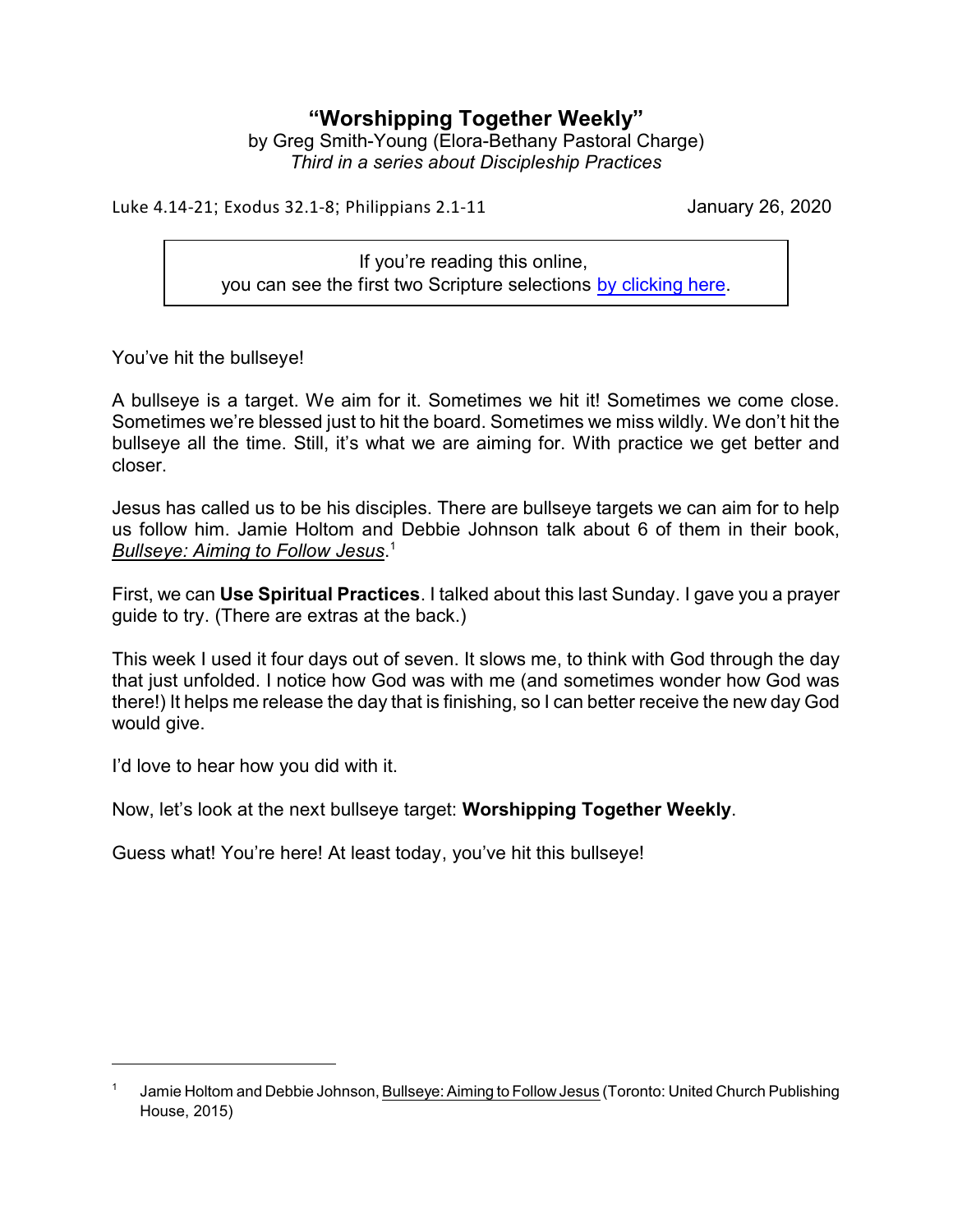## **"Worshipping Together Weekly"**

by Greg Smith-Young (Elora-Bethany Pastoral Charge) *Third in a series about Discipleship Practices*

Luke 4.14-21; Exodus 32.1-8; Philippians 2.1-11 January 26, 2020

If you're reading this online, you can see the first two Scripture selections [by clicking here](https://www.biblegateway.com/passage/?search=Exodus+32%3A1-8%3B+Luke+4%3A14-21&version=CEB).

You've hit the bullseye!

A bullseye is a target. We aim for it. Sometimes we hit it! Sometimes we come close. Sometimes we're blessed just to hit the board. Sometimes we miss wildly. We don't hit the bullseye all the time. Still, it's what we are aiming for. With practice we get better and closer.

Jesus has called us to be his disciples. There are bullseye targets we can aim for to help us follow him. Jamie Holtom and Debbie Johnson talk about 6 of them in their book, *Bullseye: Aiming to Follow Jesus*. 1

First, we can **Use Spiritual Practices**. I talked about this last Sunday. I gave you a prayer guide to try. (There are extras at the back.)

This week I used it four days out of seven. It slows me, to think with God through the day that just unfolded. I notice how God was with me (and sometimes wonder how God was there!) It helps me release the day that is finishing, so I can better receive the new day God would give.

I'd love to hear how you did with it.

Now, let's look at the next bullseye target: **Worshipping Together Weekly**.

Guess what! You're here! At least today, you've hit this bullseye!

<sup>1</sup> Jamie Holtom and Debbie Johnson, Bullseye: Aiming to Follow Jesus (Toronto: United Church Publishing House, 2015)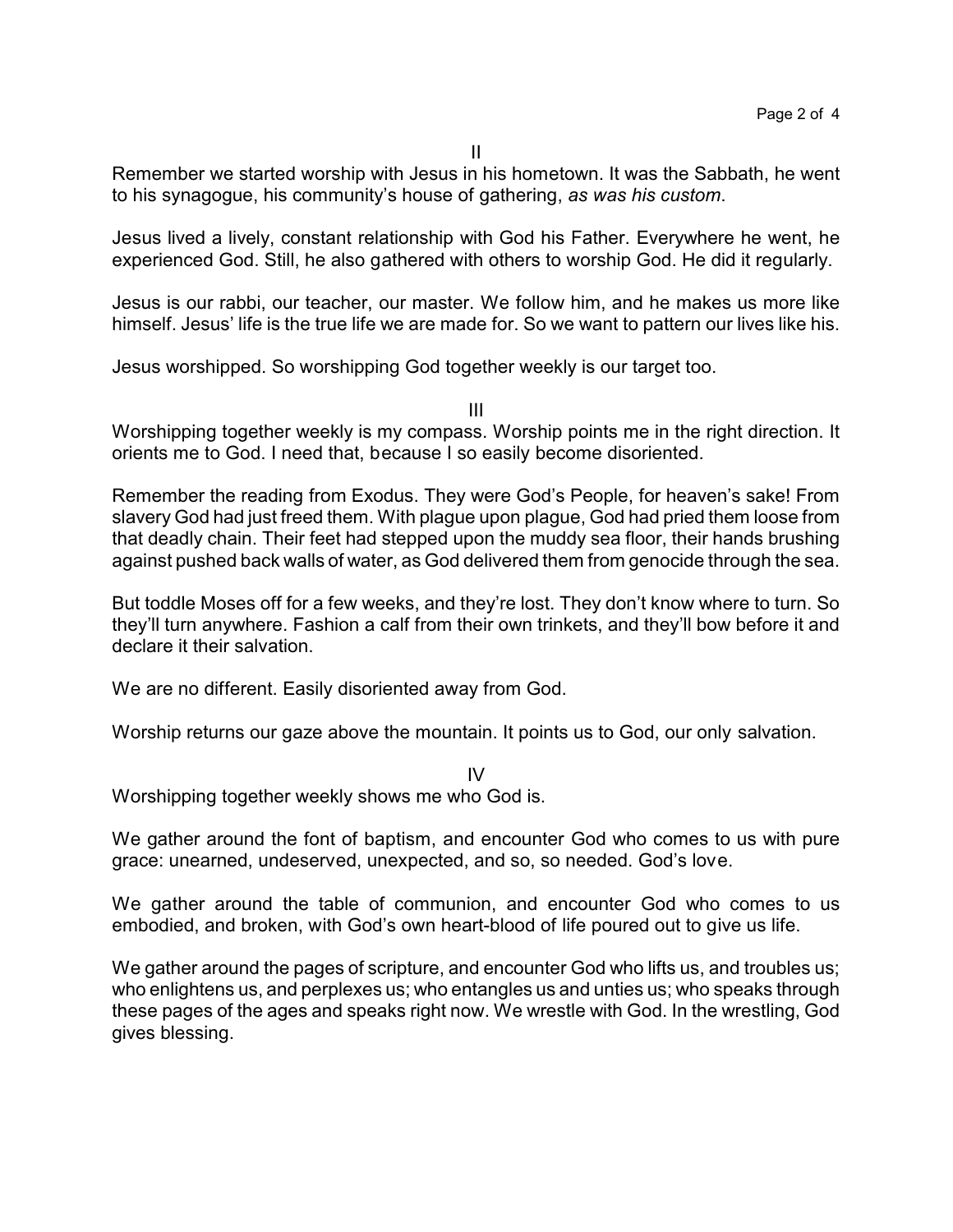II

Remember we started worship with Jesus in his hometown. It was the Sabbath, he went to his synagogue, his community's house of gathering, *as was his custom*.

Jesus lived a lively, constant relationship with God his Father. Everywhere he went, he experienced God. Still, he also gathered with others to worship God. He did it regularly.

Jesus is our rabbi, our teacher, our master. We follow him, and he makes us more like himself. Jesus' life is the true life we are made for. So we want to pattern our lives like his.

Jesus worshipped. So worshipping God together weekly is our target too.

III

Worshipping together weekly is my compass. Worship points me in the right direction. It orients me to God. I need that, because I so easily become disoriented.

Remember the reading from Exodus. They were God's People, for heaven's sake! From slavery God had just freed them. With plague upon plague, God had pried them loose from that deadly chain. Their feet had stepped upon the muddy sea floor, their hands brushing against pushed back walls of water, as God delivered them from genocide through the sea.

But toddle Moses off for a few weeks, and they're lost. They don't know where to turn. So they'll turn anywhere. Fashion a calf from their own trinkets, and they'll bow before it and declare it their salvation.

We are no different. Easily disoriented away from God.

Worship returns our gaze above the mountain. It points us to God, our only salvation.

IV

Worshipping together weekly shows me who God is.

We gather around the font of baptism, and encounter God who comes to us with pure grace: unearned, undeserved, unexpected, and so, so needed. God's love.

We gather around the table of communion, and encounter God who comes to us embodied, and broken, with God's own heart-blood of life poured out to give us life.

We gather around the pages of scripture, and encounter God who lifts us, and troubles us; who enlightens us, and perplexes us; who entangles us and unties us; who speaks through these pages of the ages and speaks right now. We wrestle with God. In the wrestling, God gives blessing.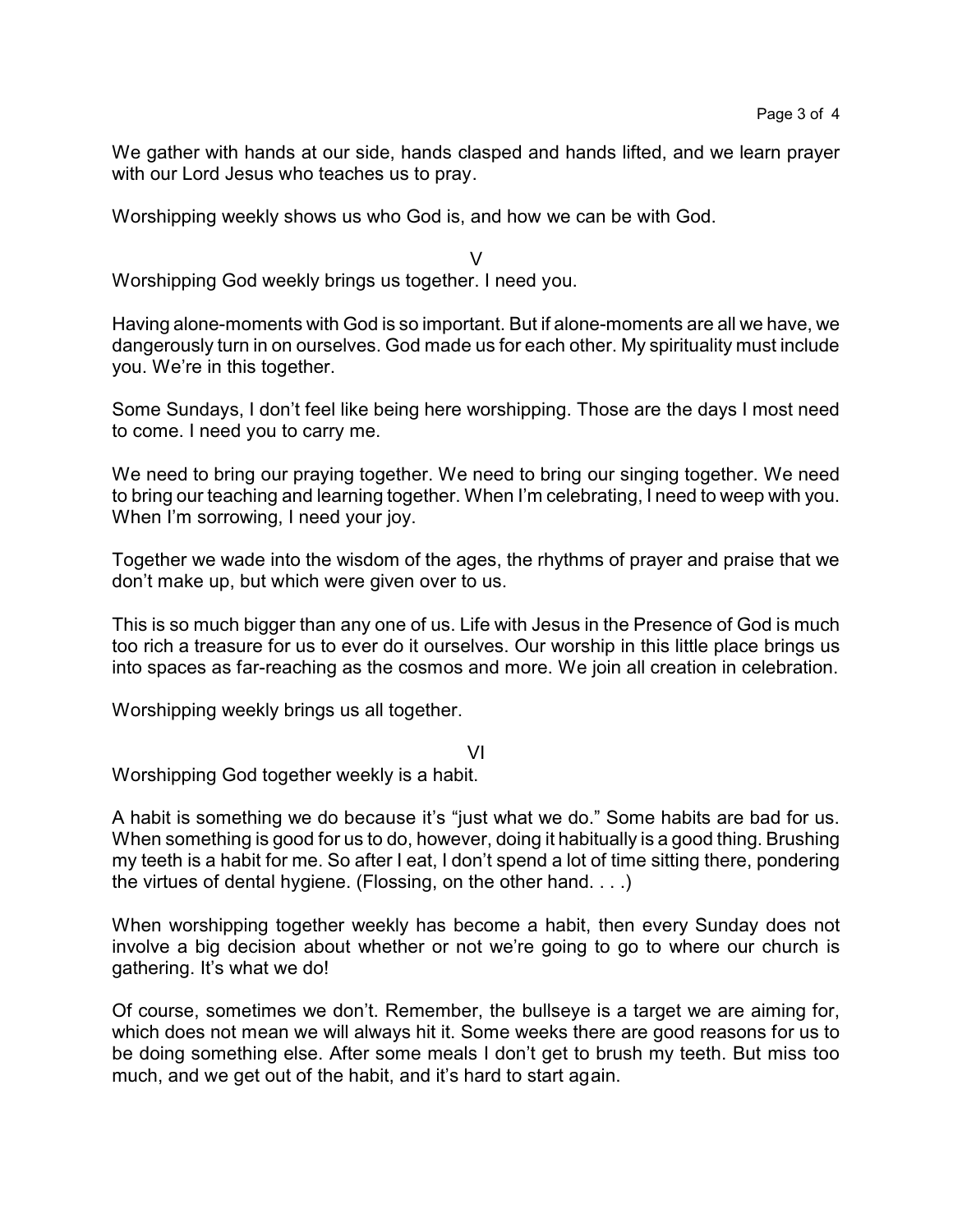We gather with hands at our side, hands clasped and hands lifted, and we learn prayer with our Lord Jesus who teaches us to pray.

Worshipping weekly shows us who God is, and how we can be with God.

V Worshipping God weekly brings us together. I need you.

Having alone-moments with God is so important. But if alone-moments are all we have, we dangerously turn in on ourselves. God made us for each other. My spirituality must include you. We're in this together.

Some Sundays, I don't feel like being here worshipping. Those are the days I most need to come. I need you to carry me.

We need to bring our praying together. We need to bring our singing together. We need to bring our teaching and learning together. When I'm celebrating, I need to weep with you. When I'm sorrowing, I need your joy.

Together we wade into the wisdom of the ages, the rhythms of prayer and praise that we don't make up, but which were given over to us.

This is so much bigger than any one of us. Life with Jesus in the Presence of God is much too rich a treasure for us to ever do it ourselves. Our worship in this little place brings us into spaces as far-reaching as the cosmos and more. We join all creation in celebration.

Worshipping weekly brings us all together.

VI

Worshipping God together weekly is a habit.

A habit is something we do because it's "just what we do." Some habits are bad for us. When something is good for us to do, however, doing it habitually is a good thing. Brushing my teeth is a habit for me. So after I eat, I don't spend a lot of time sitting there, pondering the virtues of dental hygiene. (Flossing, on the other hand. . . .)

When worshipping together weekly has become a habit, then every Sunday does not involve a big decision about whether or not we're going to go to where our church is gathering. It's what we do!

Of course, sometimes we don't. Remember, the bullseye is a target we are aiming for, which does not mean we will always hit it. Some weeks there are good reasons for us to be doing something else. After some meals I don't get to brush my teeth. But miss too much, and we get out of the habit, and it's hard to start again.